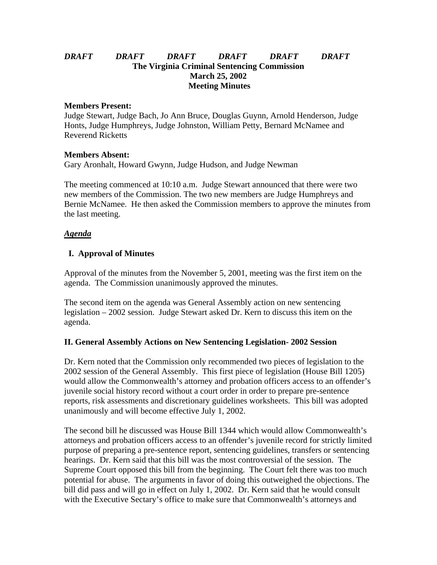# *DRAFT DRAFT DRAFT DRAFT DRAFT DRAFT* **The Virginia Criminal Sentencing Commission March 25, 2002 Meeting Minutes**

#### **Members Present:**

Judge Stewart, Judge Bach, Jo Ann Bruce, Douglas Guynn, Arnold Henderson, Judge Honts, Judge Humphreys, Judge Johnston, William Petty, Bernard McNamee and Reverend Ricketts

## **Members Absent:**

Gary Aronhalt, Howard Gwynn, Judge Hudson, and Judge Newman

The meeting commenced at 10:10 a.m. Judge Stewart announced that there were two new members of the Commission. The two new members are Judge Humphreys and Bernie McNamee. He then asked the Commission members to approve the minutes from the last meeting.

## *Agenda*

# **I. Approval of Minutes**

Approval of the minutes from the November 5, 2001, meeting was the first item on the agenda. The Commission unanimously approved the minutes.

The second item on the agenda was General Assembly action on new sentencing legislation – 2002 session. Judge Stewart asked Dr. Kern to discuss this item on the agenda.

## **II. General Assembly Actions on New Sentencing Legislation- 2002 Session**

Dr. Kern noted that the Commission only recommended two pieces of legislation to the 2002 session of the General Assembly. This first piece of legislation (House Bill 1205) would allow the Commonwealth's attorney and probation officers access to an offender's juvenile social history record without a court order in order to prepare pre-sentence reports, risk assessments and discretionary guidelines worksheets. This bill was adopted unanimously and will become effective July 1, 2002.

The second bill he discussed was House Bill 1344 which would allow Commonwealth's attorneys and probation officers access to an offender's juvenile record for strictly limited purpose of preparing a pre-sentence report, sentencing guidelines, transfers or sentencing hearings. Dr. Kern said that this bill was the most controversial of the session. The Supreme Court opposed this bill from the beginning. The Court felt there was too much potential for abuse. The arguments in favor of doing this outweighed the objections. The bill did pass and will go in effect on July 1, 2002. Dr. Kern said that he would consult with the Executive Sectary's office to make sure that Commonwealth's attorneys and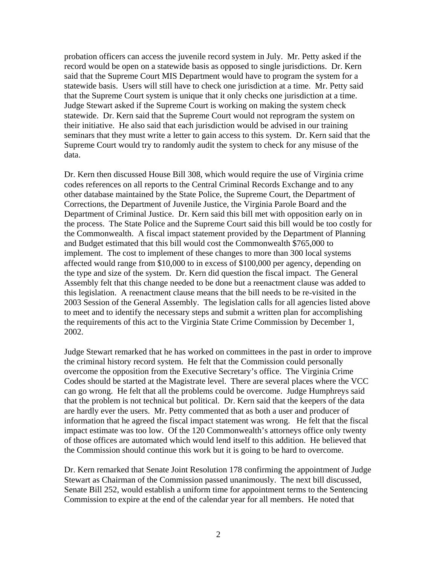probation officers can access the juvenile record system in July. Mr. Petty asked if the record would be open on a statewide basis as opposed to single jurisdictions. Dr. Kern said that the Supreme Court MIS Department would have to program the system for a statewide basis. Users will still have to check one jurisdiction at a time. Mr. Petty said that the Supreme Court system is unique that it only checks one jurisdiction at a time. Judge Stewart asked if the Supreme Court is working on making the system check statewide. Dr. Kern said that the Supreme Court would not reprogram the system on their initiative. He also said that each jurisdiction would be advised in our training seminars that they must write a letter to gain access to this system. Dr. Kern said that the Supreme Court would try to randomly audit the system to check for any misuse of the data.

Dr. Kern then discussed House Bill 308, which would require the use of Virginia crime codes references on all reports to the Central Criminal Records Exchange and to any other database maintained by the State Police, the Supreme Court, the Department of Corrections, the Department of Juvenile Justice, the Virginia Parole Board and the Department of Criminal Justice. Dr. Kern said this bill met with opposition early on in the process. The State Police and the Supreme Court said this bill would be too costly for the Commonwealth. A fiscal impact statement provided by the Department of Planning and Budget estimated that this bill would cost the Commonwealth \$765,000 to implement. The cost to implement of these changes to more than 300 local systems affected would range from \$10,000 to in excess of \$100,000 per agency, depending on the type and size of the system. Dr. Kern did question the fiscal impact. The General Assembly felt that this change needed to be done but a reenactment clause was added to this legislation. A reenactment clause means that the bill needs to be re-visited in the 2003 Session of the General Assembly. The legislation calls for all agencies listed above to meet and to identify the necessary steps and submit a written plan for accomplishing the requirements of this act to the Virginia State Crime Commission by December 1, 2002.

Judge Stewart remarked that he has worked on committees in the past in order to improve the criminal history record system. He felt that the Commission could personally overcome the opposition from the Executive Secretary's office. The Virginia Crime Codes should be started at the Magistrate level. There are several places where the VCC can go wrong. He felt that all the problems could be overcome. Judge Humphreys said that the problem is not technical but political. Dr. Kern said that the keepers of the data are hardly ever the users. Mr. Petty commented that as both a user and producer of information that he agreed the fiscal impact statement was wrong. He felt that the fiscal impact estimate was too low. Of the 120 Commonwealth's attorneys office only twenty of those offices are automated which would lend itself to this addition. He believed that the Commission should continue this work but it is going to be hard to overcome.

Dr. Kern remarked that Senate Joint Resolution 178 confirming the appointment of Judge Stewart as Chairman of the Commission passed unanimously. The next bill discussed, Senate Bill 252, would establish a uniform time for appointment terms to the Sentencing Commission to expire at the end of the calendar year for all members. He noted that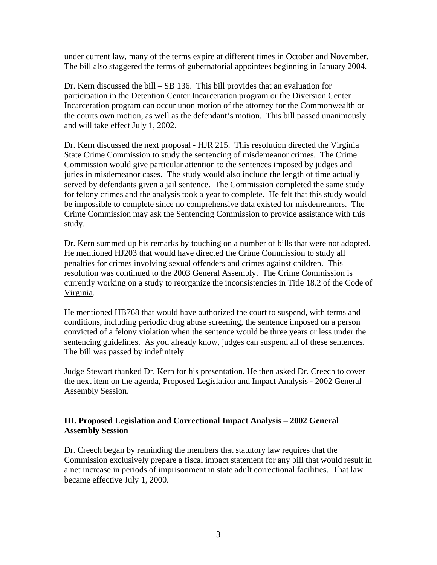under current law, many of the terms expire at different times in October and November. The bill also staggered the terms of gubernatorial appointees beginning in January 2004.

Dr. Kern discussed the bill – SB 136. This bill provides that an evaluation for participation in the Detention Center Incarceration program or the Diversion Center Incarceration program can occur upon motion of the attorney for the Commonwealth or the courts own motion, as well as the defendant's motion. This bill passed unanimously and will take effect July 1, 2002.

Dr. Kern discussed the next proposal - HJR 215. This resolution directed the Virginia State Crime Commission to study the sentencing of misdemeanor crimes. The Crime Commission would give particular attention to the sentences imposed by judges and juries in misdemeanor cases. The study would also include the length of time actually served by defendants given a jail sentence. The Commission completed the same study for felony crimes and the analysis took a year to complete. He felt that this study would be impossible to complete since no comprehensive data existed for misdemeanors. The Crime Commission may ask the Sentencing Commission to provide assistance with this study.

Dr. Kern summed up his remarks by touching on a number of bills that were not adopted. He mentioned HJ203 that would have directed the Crime Commission to study all penalties for crimes involving sexual offenders and crimes against children. This resolution was continued to the 2003 General Assembly. The Crime Commission is currently working on a study to reorganize the inconsistencies in Title 18.2 of the Code of Virginia.

He mentioned HB768 that would have authorized the court to suspend, with terms and conditions, including periodic drug abuse screening, the sentence imposed on a person convicted of a felony violation when the sentence would be three years or less under the sentencing guidelines. As you already know, judges can suspend all of these sentences. The bill was passed by indefinitely.

Judge Stewart thanked Dr. Kern for his presentation. He then asked Dr. Creech to cover the next item on the agenda, Proposed Legislation and Impact Analysis - 2002 General Assembly Session.

# **III. Proposed Legislation and Correctional Impact Analysis – 2002 General Assembly Session**

Dr. Creech began by reminding the members that statutory law requires that the Commission exclusively prepare a fiscal impact statement for any bill that would result in a net increase in periods of imprisonment in state adult correctional facilities. That law became effective July 1, 2000.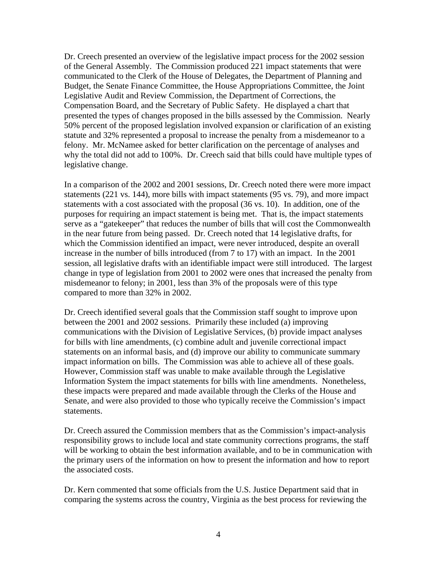Dr. Creech presented an overview of the legislative impact process for the 2002 session of the General Assembly. The Commission produced 221 impact statements that were communicated to the Clerk of the House of Delegates, the Department of Planning and Budget, the Senate Finance Committee, the House Appropriations Committee, the Joint Legislative Audit and Review Commission, the Department of Corrections, the Compensation Board, and the Secretary of Public Safety. He displayed a chart that presented the types of changes proposed in the bills assessed by the Commission. Nearly 50% percent of the proposed legislation involved expansion or clarification of an existing statute and 32% represented a proposal to increase the penalty from a misdemeanor to a felony. Mr. McNamee asked for better clarification on the percentage of analyses and why the total did not add to 100%. Dr. Creech said that bills could have multiple types of legislative change.

In a comparison of the 2002 and 2001 sessions, Dr. Creech noted there were more impact statements (221 vs. 144), more bills with impact statements (95 vs. 79), and more impact statements with a cost associated with the proposal (36 vs. 10). In addition, one of the purposes for requiring an impact statement is being met. That is, the impact statements serve as a "gatekeeper" that reduces the number of bills that will cost the Commonwealth in the near future from being passed. Dr. Creech noted that 14 legislative drafts, for which the Commission identified an impact, were never introduced, despite an overall increase in the number of bills introduced (from 7 to 17) with an impact. In the 2001 session, all legislative drafts with an identifiable impact were still introduced. The largest change in type of legislation from 2001 to 2002 were ones that increased the penalty from misdemeanor to felony; in 2001, less than 3% of the proposals were of this type compared to more than 32% in 2002.

Dr. Creech identified several goals that the Commission staff sought to improve upon between the 2001 and 2002 sessions. Primarily these included (a) improving communications with the Division of Legislative Services, (b) provide impact analyses for bills with line amendments, (c) combine adult and juvenile correctional impact statements on an informal basis, and (d) improve our ability to communicate summary impact information on bills. The Commission was able to achieve all of these goals. However, Commission staff was unable to make available through the Legislative Information System the impact statements for bills with line amendments. Nonetheless, these impacts were prepared and made available through the Clerks of the House and Senate, and were also provided to those who typically receive the Commission's impact statements.

Dr. Creech assured the Commission members that as the Commission's impact-analysis responsibility grows to include local and state community corrections programs, the staff will be working to obtain the best information available, and to be in communication with the primary users of the information on how to present the information and how to report the associated costs.

Dr. Kern commented that some officials from the U.S. Justice Department said that in comparing the systems across the country, Virginia as the best process for reviewing the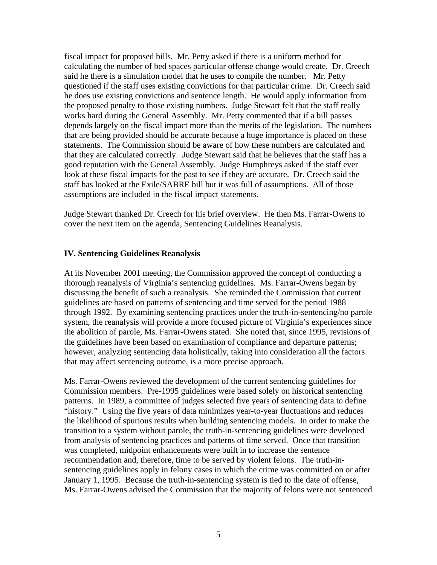fiscal impact for proposed bills. Mr. Petty asked if there is a uniform method for calculating the number of bed spaces particular offense change would create. Dr. Creech said he there is a simulation model that he uses to compile the number. Mr. Petty questioned if the staff uses existing convictions for that particular crime. Dr. Creech said he does use existing convictions and sentence length. He would apply information from the proposed penalty to those existing numbers. Judge Stewart felt that the staff really works hard during the General Assembly. Mr. Petty commented that if a bill passes depends largely on the fiscal impact more than the merits of the legislation. The numbers that are being provided should be accurate because a huge importance is placed on these statements. The Commission should be aware of how these numbers are calculated and that they are calculated correctly. Judge Stewart said that he believes that the staff has a good reputation with the General Assembly. Judge Humphreys asked if the staff ever look at these fiscal impacts for the past to see if they are accurate. Dr. Creech said the staff has looked at the Exile/SABRE bill but it was full of assumptions. All of those assumptions are included in the fiscal impact statements.

Judge Stewart thanked Dr. Creech for his brief overview. He then Ms. Farrar-Owens to cover the next item on the agenda, Sentencing Guidelines Reanalysis.

#### **IV. Sentencing Guidelines Reanalysis**

At its November 2001 meeting, the Commission approved the concept of conducting a thorough reanalysis of Virginia's sentencing guidelines. Ms. Farrar-Owens began by discussing the benefit of such a reanalysis. She reminded the Commission that current guidelines are based on patterns of sentencing and time served for the period 1988 through 1992. By examining sentencing practices under the truth-in-sentencing/no parole system, the reanalysis will provide a more focused picture of Virginia's experiences since the abolition of parole, Ms. Farrar-Owens stated. She noted that, since 1995, revisions of the guidelines have been based on examination of compliance and departure patterns; however, analyzing sentencing data holistically, taking into consideration all the factors that may affect sentencing outcome, is a more precise approach.

Ms. Farrar-Owens reviewed the development of the current sentencing guidelines for Commission members. Pre-1995 guidelines were based solely on historical sentencing patterns. In 1989, a committee of judges selected five years of sentencing data to define "history." Using the five years of data minimizes year-to-year fluctuations and reduces the likelihood of spurious results when building sentencing models. In order to make the transition to a system without parole, the truth-in-sentencing guidelines were developed from analysis of sentencing practices and patterns of time served. Once that transition was completed, midpoint enhancements were built in to increase the sentence recommendation and, therefore, time to be served by violent felons. The truth-insentencing guidelines apply in felony cases in which the crime was committed on or after January 1, 1995. Because the truth-in-sentencing system is tied to the date of offense, Ms. Farrar-Owens advised the Commission that the majority of felons were not sentenced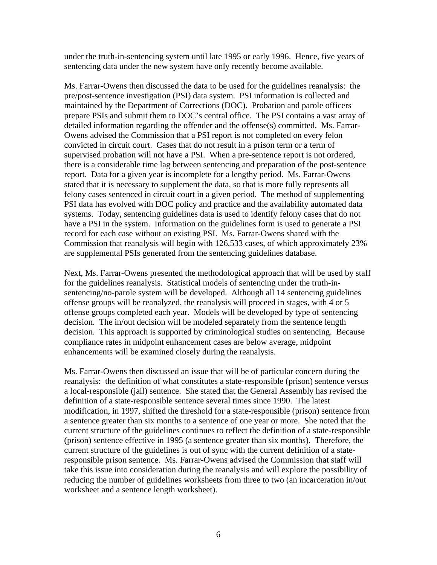under the truth-in-sentencing system until late 1995 or early 1996. Hence, five years of sentencing data under the new system have only recently become available.

Ms. Farrar-Owens then discussed the data to be used for the guidelines reanalysis: the pre/post-sentence investigation (PSI) data system. PSI information is collected and maintained by the Department of Corrections (DOC). Probation and parole officers prepare PSIs and submit them to DOC's central office. The PSI contains a vast array of detailed information regarding the offender and the offense(s) committed. Ms. Farrar-Owens advised the Commission that a PSI report is not completed on every felon convicted in circuit court. Cases that do not result in a prison term or a term of supervised probation will not have a PSI. When a pre-sentence report is not ordered, there is a considerable time lag between sentencing and preparation of the post-sentence report. Data for a given year is incomplete for a lengthy period. Ms. Farrar-Owens stated that it is necessary to supplement the data, so that is more fully represents all felony cases sentenced in circuit court in a given period. The method of supplementing PSI data has evolved with DOC policy and practice and the availability automated data systems. Today, sentencing guidelines data is used to identify felony cases that do not have a PSI in the system. Information on the guidelines form is used to generate a PSI record for each case without an existing PSI. Ms. Farrar-Owens shared with the Commission that reanalysis will begin with 126,533 cases, of which approximately 23% are supplemental PSIs generated from the sentencing guidelines database.

Next, Ms. Farrar-Owens presented the methodological approach that will be used by staff for the guidelines reanalysis. Statistical models of sentencing under the truth-insentencing/no-parole system will be developed. Although all 14 sentencing guidelines offense groups will be reanalyzed, the reanalysis will proceed in stages, with 4 or 5 offense groups completed each year. Models will be developed by type of sentencing decision. The in/out decision will be modeled separately from the sentence length decision. This approach is supported by criminological studies on sentencing. Because compliance rates in midpoint enhancement cases are below average, midpoint enhancements will be examined closely during the reanalysis.

Ms. Farrar-Owens then discussed an issue that will be of particular concern during the reanalysis: the definition of what constitutes a state-responsible (prison) sentence versus a local-responsible (jail) sentence. She stated that the General Assembly has revised the definition of a state-responsible sentence several times since 1990. The latest modification, in 1997, shifted the threshold for a state-responsible (prison) sentence from a sentence greater than six months to a sentence of one year or more. She noted that the current structure of the guidelines continues to reflect the definition of a state-responsible (prison) sentence effective in 1995 (a sentence greater than six months). Therefore, the current structure of the guidelines is out of sync with the current definition of a stateresponsible prison sentence. Ms. Farrar-Owens advised the Commission that staff will take this issue into consideration during the reanalysis and will explore the possibility of reducing the number of guidelines worksheets from three to two (an incarceration in/out worksheet and a sentence length worksheet).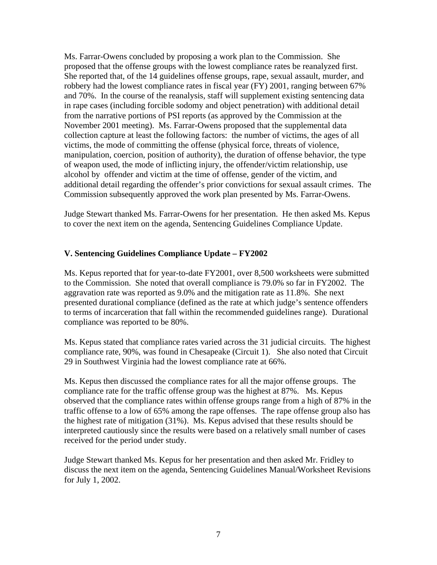Ms. Farrar-Owens concluded by proposing a work plan to the Commission. She proposed that the offense groups with the lowest compliance rates be reanalyzed first. She reported that, of the 14 guidelines offense groups, rape, sexual assault, murder, and robbery had the lowest compliance rates in fiscal year (FY) 2001, ranging between 67% and 70%. In the course of the reanalysis, staff will supplement existing sentencing data in rape cases (including forcible sodomy and object penetration) with additional detail from the narrative portions of PSI reports (as approved by the Commission at the November 2001 meeting). Ms. Farrar-Owens proposed that the supplemental data collection capture at least the following factors: the number of victims, the ages of all victims, the mode of committing the offense (physical force, threats of violence, manipulation, coercion, position of authority), the duration of offense behavior, the type of weapon used, the mode of inflicting injury, the offender/victim relationship, use alcohol by offender and victim at the time of offense, gender of the victim, and additional detail regarding the offender's prior convictions for sexual assault crimes. The Commission subsequently approved the work plan presented by Ms. Farrar-Owens.

Judge Stewart thanked Ms. Farrar-Owens for her presentation. He then asked Ms. Kepus to cover the next item on the agenda, Sentencing Guidelines Compliance Update.

## **V. Sentencing Guidelines Compliance Update – FY2002**

Ms. Kepus reported that for year-to-date FY2001, over 8,500 worksheets were submitted to the Commission. She noted that overall compliance is 79.0% so far in FY2002. The aggravation rate was reported as 9.0% and the mitigation rate as 11.8%. She next presented durational compliance (defined as the rate at which judge's sentence offenders to terms of incarceration that fall within the recommended guidelines range). Durational compliance was reported to be 80%.

Ms. Kepus stated that compliance rates varied across the 31 judicial circuits. The highest compliance rate, 90%, was found in Chesapeake (Circuit 1). She also noted that Circuit 29 in Southwest Virginia had the lowest compliance rate at 66%.

Ms. Kepus then discussed the compliance rates for all the major offense groups. The compliance rate for the traffic offense group was the highest at 87%. Ms. Kepus observed that the compliance rates within offense groups range from a high of 87% in the traffic offense to a low of 65% among the rape offenses. The rape offense group also has the highest rate of mitigation (31%). Ms. Kepus advised that these results should be interpreted cautiously since the results were based on a relatively small number of cases received for the period under study.

Judge Stewart thanked Ms. Kepus for her presentation and then asked Mr. Fridley to discuss the next item on the agenda, Sentencing Guidelines Manual/Worksheet Revisions for July 1, 2002.